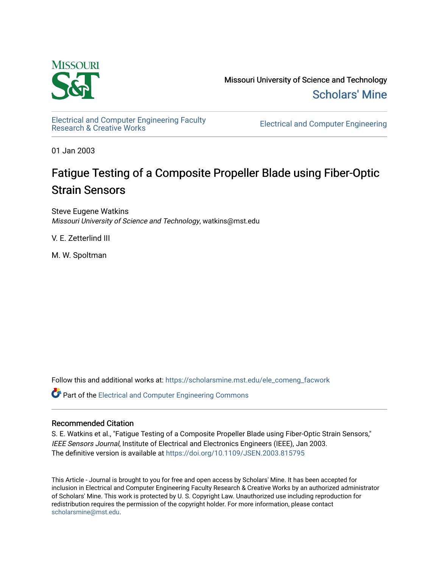

Missouri University of Science and Technology [Scholars' Mine](https://scholarsmine.mst.edu/) 

[Electrical and Computer Engineering Faculty](https://scholarsmine.mst.edu/ele_comeng_facwork)

**Electrical and Computer Engineering** 

01 Jan 2003

## Fatigue Testing of a Composite Propeller Blade using Fiber-Optic Strain Sensors

Steve Eugene Watkins Missouri University of Science and Technology, watkins@mst.edu

V. E. Zetterlind III

M. W. Spoltman

Follow this and additional works at: [https://scholarsmine.mst.edu/ele\\_comeng\\_facwork](https://scholarsmine.mst.edu/ele_comeng_facwork?utm_source=scholarsmine.mst.edu%2Fele_comeng_facwork%2F1624&utm_medium=PDF&utm_campaign=PDFCoverPages)

**C** Part of the Electrical and Computer Engineering Commons

### Recommended Citation

S. E. Watkins et al., "Fatigue Testing of a Composite Propeller Blade using Fiber-Optic Strain Sensors," IEEE Sensors Journal, Institute of Electrical and Electronics Engineers (IEEE), Jan 2003. The definitive version is available at <https://doi.org/10.1109/JSEN.2003.815795>

This Article - Journal is brought to you for free and open access by Scholars' Mine. It has been accepted for inclusion in Electrical and Computer Engineering Faculty Research & Creative Works by an authorized administrator of Scholars' Mine. This work is protected by U. S. Copyright Law. Unauthorized use including reproduction for redistribution requires the permission of the copyright holder. For more information, please contact [scholarsmine@mst.edu.](mailto:scholarsmine@mst.edu)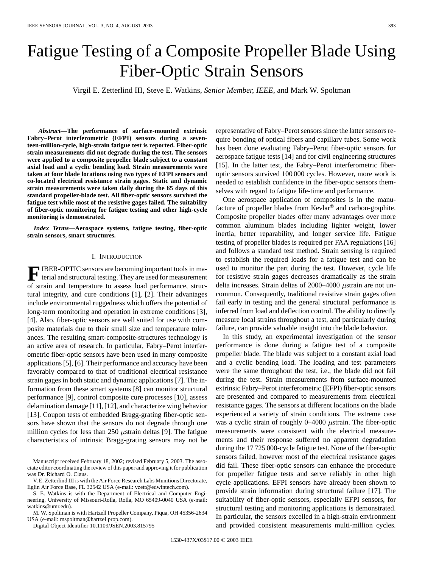# Fatigue Testing of a Composite Propeller Blade Using Fiber-Optic Strain Sensors

Virgil E. Zetterlind III, Steve E. Watkins*, Senior Member, IEEE*, and Mark W. Spoltman

*Abstract—***The performance of surface-mounted extrinsic Fabry–Perot interferometric (EFPI) sensors during a seventeen-million-cycle, high-strain fatigue test is reported. Fiber-optic strain measurements did not degrade during the test. The sensors were applied to a composite propeller blade subject to a constant axial load and a cyclic bending load. Strain measurements were taken at four blade locations using two types of EFPI sensors and co-located electrical resistance strain gages. Static and dynamic strain measurements were taken daily during the 65 days of this standard propeller-blade test. All fiber-optic sensors survived the fatigue test while most of the resistive gages failed. The suitability of fiber-optic monitoring for fatigue testing and other high-cycle monitoring is demonstrated.**

*Index Terms—***Aerospace systems, fatigue testing, fiber-optic strain sensors, smart structures.**

#### I. INTRODUCTION

**F**IBER-OPTIC sensors are becoming important tools in ma-<br>terial and structural testing. They are used for measurement of strain and temperature to assess load performance, structural integrity, and cure conditions [1], [2]. Their advantages include environmental ruggedness which offers the potential of long-term monitoring and operation in extreme conditions [3], [4]. Also, fiber-optic sensors are well suited for use with composite materials due to their small size and temperature tolerances. The resulting smart-composite-structures technology is an active area of research. In particular, Fabry–Perot interferometric fiber-optic sensors have been used in many composite applications [5], [6]. Their performance and accuracy have been favorably compared to that of traditional electrical resistance strain gages in both static and dynamic applications [7]. The information from these smart systems [8] can monitor structural performance [9], control composite cure processes [10], assess delamination damage [11], [12], and characterize wing behavior [13]. Coupon tests of embedded Bragg-grating fiber-optic sensors have shown that the sensors do not degrade through one million cycles for less than 250  $\mu$ strain deltas [9]. The fatigue characteristics of intrinsic Bragg-grating sensors may not be

Manuscript received February 18, 2002; revised February 5, 2003. The associate editor coordinating the review of this paper and approving it for publication was Dr. Richard O. Claus.

V. E. Zetterlind III is with the Air Force Research Labs Munitions Directorate, Eglin Air Force Base, FL 32542 USA (e-mail: vzett@edwintech.com).

S. E. Watkins is with the Department of Electrical and Computer Engineering, University of Missouri-Rolla, Rolla, MO 65409-0040 USA (e-mail: watkins@umr.edu).

M. W. Spoltman is with Hartzell Propeller Company, Piqua, OH 45356-2634 USA (e-mail: mspoltman@hartzellprop.com).

Digital Object Identifier 10.1109/JSEN.2003.815795

representative of Fabry–Perot sensors since the latter sensors require bonding of optical fibers and capillary tubes. Some work has been done evaluating Fabry–Perot fiber-optic sensors for aerospace fatigue tests [14] and for civil engineering structures [15]. In the latter test, the Fabry–Perot interferometric fiberoptic sensors survived 100 000 cycles. However, more work is needed to establish confidence in the fiber-optic sensors themselves with regard to fatigue life-time and performance.

One aerospace application of composites is in the manufacture of propeller blades from Kevlar® and carbon-graphite. Composite propeller blades offer many advantages over more common aluminum blades including lighter weight, lower inertia, better reparability, and longer service life. Fatigue testing of propeller blades is required per FAA regulations [16] and follows a standard test method. Strain sensing is required to establish the required loads for a fatigue test and can be used to monitor the part during the test. However, cycle life for resistive strain gages decreases dramatically as the strain delta increases. Strain deltas of  $2000-4000$   $\mu$ strain are not uncommon. Consequently, traditional resistive strain gages often fail early in testing and the general structural performance is inferred from load and deflection control. The ability to directly measure local strains throughout a test, and particularly during failure, can provide valuable insight into the blade behavior.

In this study, an experimental investigation of the sensor performance is done during a fatigue test of a composite propeller blade. The blade was subject to a constant axial load and a cyclic bending load. The loading and test parameters were the same throughout the test, i.e., the blade did not fail during the test. Strain measurements from surface-mounted extrinsic Fabry–Perot interferometric (EFPI) fiber-optic sensors are presented and compared to measurements from electrical resistance gages. The sensors at different locations on the blade experienced a variety of strain conditions. The extreme case was a cyclic strain of roughly  $0-4000$   $\mu$ strain. The fiber-optic measurements were consistent with the electrical measurements and their response suffered no apparent degradation during the 17 725 000-cycle fatigue test. None of the fiber-optic sensors failed, however most of the electrical resistance gages did fail. These fiber-optic sensors can enhance the procedure for propeller fatigue tests and serve reliably in other high cycle applications. EFPI sensors have already been shown to provide strain information during structural failure [17]. The suitability of fiber-optic sensors, especially EFPI sensors, for structural testing and monitoring applications is demonstrated. In particular, the sensors excelled in a high-strain environment and provided consistent measurements multi-million cycles.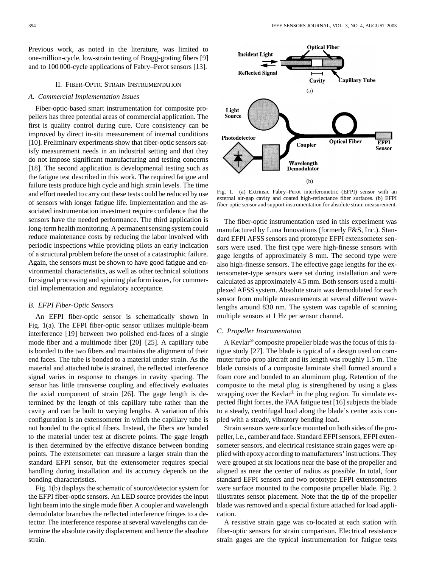Previous work, as noted in the literature, was limited to one-million-cycle, low-strain testing of Bragg-grating fibers [9] and to 100 000-cycle applications of Fabry–Perot sensors [13].

#### II. FIBER-OPTIC STRAIN INSTRUMENTATION

#### *A. Commercial Implementation Issues*

Fiber-optic-based smart instrumentation for composite propellers has three potential areas of commercial application. The first is quality control during cure. Cure consistency can be improved by direct in-situ measurement of internal conditions [10]. Preliminary experiments show that fiber-optic sensors satisfy measurement needs in an industrial setting and that they do not impose significant manufacturing and testing concerns [18]. The second application is developmental testing such as the fatigue test described in this work. The required fatigue and failure tests produce high cycle and high strain levels. The time and effort needed to carry out these tests could be reduced by use of sensors with longer fatigue life. Implementation and the associated instrumentation investment require confidence that the sensors have the needed performance. The third application is long-term health monitoring. A permanent sensing system could reduce maintenance costs by reducing the labor involved with periodic inspections while providing pilots an early indication of a structural problem before the onset of a catastrophic failure. Again, the sensors must be shown to have good fatigue and environmental characteristics, as well as other technical solutions for signal processing and spinning platform issues, for commercial implementation and regulatory acceptance.

#### *B. EFPI Fiber-Optic Sensors*

An EFPI fiber-optic sensor is schematically shown in Fig. 1(a). The EFPI fiber-optic sensor utilizes multiple-beam interference [19] between two polished end-faces of a single mode fiber and a multimode fiber [20]–[25]. A capillary tube is bonded to the two fibers and maintains the alignment of their end faces. The tube is bonded to a material under strain. As the material and attached tube is strained, the reflected interference signal varies in response to changes in cavity spacing. The sensor has little transverse coupling and effectively evaluates the axial component of strain [26]. The gage length is determined by the length of this capillary tube rather than the cavity and can be built to varying lengths. A variation of this configuration is an extensometer in which the capillary tube is not bonded to the optical fibers. Instead, the fibers are bonded to the material under test at discrete points. The gage length is then determined by the effective distance between bonding points. The extensometer can measure a larger strain than the standard EFPI sensor, but the extensometer requires special handling during installation and its accuracy depends on the bonding characteristics.

Fig. 1(b) displays the schematic of source/detector system for the EFPI fiber-optic sensors. An LED source provides the input light beam into the single mode fiber. A coupler and wavelength demodulator branches the reflected interference fringes to a detector. The interference response at several wavelengths can determine the absolute cavity displacement and hence the absolute strain.



Fig. 1. (a) Extrinsic Fabry–Perot interferometric (EFPI) sensor with an external air-gap cavity and coated high-reflectance fiber surfaces. (b) EFPI fiber-optic sensor and support instrumentation for absolute strain measurement.

The fiber-optic instrumentation used in this experiment was manufactured by Luna Innovations (formerly F&S, Inc.). Standard EFPI AFSS sensors and prototype EFPI extensometer sensors were used. The first type were high-finesse sensors with gage lengths of approximately 8 mm. The second type were also high-finesse sensors. The effective gage lengths for the extensometer-type sensors were set during installation and were calculated as approximately 4.5 mm. Both sensors used a multiplexed AFSS system. Absolute strain was demodulated for each sensor from multiple measurements at several different wavelengths around 830 nm. The system was capable of scanning multiple sensors at 1 Hz per sensor channel.

#### *C. Propeller Instrumentation*

A Kevlar<sup>®</sup> composite propeller blade was the focus of this fatigue study [27]. The blade is typical of a design used on commuter turbo-prop aircraft and its length was roughly 1.5 m. The blade consists of a composite laminate shell formed around a foam core and bonded to an aluminum plug. Retention of the composite to the metal plug is strengthened by using a glass wrapping over the Kevlar® in the plug region. To simulate expected flight forces, the FAA fatigue test [16] subjects the blade to a steady, centrifugal load along the blade's center axis coupled with a steady, vibratory bending load.

Strain sensors were surface mounted on both sides of the propeller, i.e., camber and face. Standard EFPI sensors, EFPI extensometer sensors, and electrical resistance strain gages were applied with epoxy according to manufacturers' instructions. They were grouped at six locations near the base of the propeller and aligned as near the center of radius as possible. In total, four standard EFPI sensors and two prototype EFPI extensometers were surface mounted to the composite propeller blade. Fig. 2 illustrates sensor placement. Note that the tip of the propeller blade was removed and a special fixture attached for load application.

A resistive strain gage was co-located at each station with fiber-optic sensors for strain comparison. Electrical resistance strain gages are the typical instrumentation for fatigue tests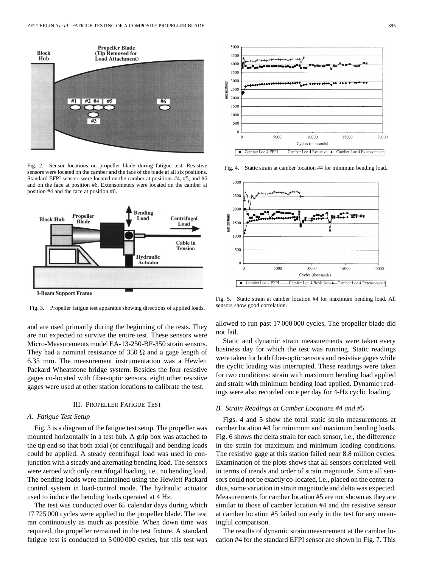

Fig. 2. Sensor locations on propeller blade during fatigue test. Resistive sensors were located on the camber and the face of the blade at all six positions. Standard EFPI sensors were located on the camber at positions #4, #5, and #6 and on the face at position #6. Extensometers were located on the camber at position #4 and the face at position #6.



**I-Beam Support Frame** 

Fig. 3. Propeller fatigue test apparatus showing directions of applied loads.

and are used primarily during the beginning of the tests. They are not expected to survive the entire test. These sensors were Micro-Measurements model EA-13-250-BF-350 strain sensors. They had a nominal resistance of 350  $\Omega$  and a gage length of 6.35 mm. The measurement instrumentation was a Hewlett Packard Wheatstone bridge system. Besides the four resistive gages co-located with fiber-optic sensors, eight other resistive gages were used at other station locations to calibrate the test.

#### III. PROPELLER FATIGUE TEST

#### *A. Fatigue Test Setup*

Fig. 3 is a diagram of the fatigue test setup. The propeller was mounted horizontally in a test hub. A grip box was attached to the tip end so that both axial (or centrifugal) and bending loads could be applied. A steady centrifugal load was used in conjunction with a steady and alternating bending load. The sensors were zeroed with only centrifugal loading, i.e., no bending load. The bending loads were maintained using the Hewlett Packard control system in load-control mode. The hydraulic actuator used to induce the bending loads operated at 4 Hz.

The test was conducted over 65 calendar days during which 17 725 000 cycles were applied to the propeller blade. The test ran continuously as much as possible. When down time was required, the propeller remained in the test fixture. A standard fatigue test is conducted to 5 000 000 cycles, but this test was



Fig. 4. Static strain at camber location #4 for minimum bending load.



Fig. 5. Static strain at camber location #4 for maximum bending load. All sensors show good correlation.

allowed to run past 17 000 000 cycles. The propeller blade did not fail.

Static and dynamic strain measurements were taken every business day for which the test was running. Static readings were taken for both fiber-optic sensors and resistive gages while the cyclic loading was interrupted. These readings were taken for two conditions: strain with maximum bending load applied and strain with minimum bending load applied. Dynamic readings were also recorded once per day for 4-Hz cyclic loading.

#### *B. Strain Readings at Camber Locations #4 and #5*

Figs. 4 and 5 show the total static strain measurements at camber location #4 for minimum and maximum bending loads. Fig. 6 shows the delta strain for each sensor, i.e., the difference in the strain for maximum and minimum loading conditions. The resistive gage at this station failed near 8.8 million cycles. Examination of the plots shows that all sensors correlated well in terms of trends and order of strain magnitude. Since all sensors could not be exactly co-located, i.e., placed on the center radius, some variation in strain magnitude and delta was expected. Measurements for camber location #5 are not shown as they are similar to those of camber location #4 and the resistive sensor at camber location #5 failed too early in the test for any meaningful comparison.

The results of dynamic strain measurement at the camber location #4 for the standard EFPI sensor are shown in Fig. 7. This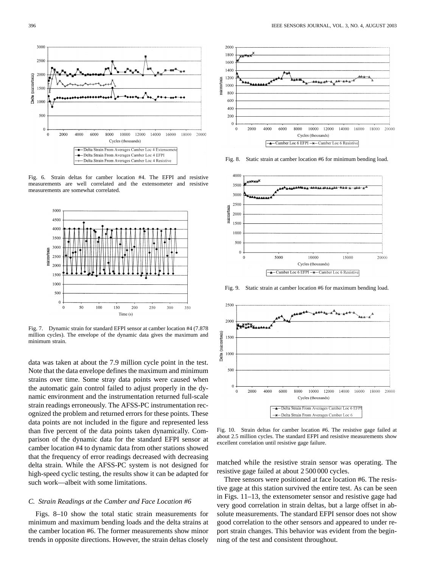

Fig. 6. Strain deltas for camber location #4. The EFPI and resistive measurements are well correlated and the extensometer and resistive measurements are somewhat correlated.



Fig. 7. Dynamic strain for standard EFPI sensor at camber location #4 (7.878 million cycles). The envelope of the dynamic data gives the maximum and minimum strain.

data was taken at about the 7.9 million cycle point in the test. Note that the data envelope defines the maximum and minimum strains over time. Some stray data points were caused when the automatic gain control failed to adjust properly in the dynamic environment and the instrumentation returned full-scale strain readings erroneously. The AFSS-PC instrumentation recognized the problem and returned errors for these points. These data points are not included in the figure and represented less than five percent of the data points taken dynamically. Comparison of the dynamic data for the standard EFPI sensor at camber location #4 to dynamic data from other stations showed that the frequency of error readings decreased with decreasing delta strain. While the AFSS-PC system is not designed for high-speed cyclic testing, the results show it can be adapted for such work—albeit with some limitations.

#### *C. Strain Readings at the Camber and Face Location #6*

Figs. 8–10 show the total static strain measurements for minimum and maximum bending loads and the delta strains at the camber location #6. The former measurements show minor trends in opposite directions. However, the strain deltas closely



Fig. 8. Static strain at camber location #6 for minimum bending load.



Fig. 9. Static strain at camber location #6 for maximum bending load.



Fig. 10. Strain deltas for camber location #6. The resistive gage failed at about 2.5 million cycles. The standard EFPI and resistive measurements show excellent correlation until resistive gage failure.

matched while the resistive strain sensor was operating. The resistive gage failed at about 2 500 000 cycles.

Three sensors were positioned at face location #6. The resistive gage at this station survived the entire test. As can be seen in Figs. 11–13, the extensometer sensor and resistive gage had very good correlation in strain deltas, but a large offset in absolute measurements. The standard EFPI sensor does not show good correlation to the other sensors and appeared to under report strain changes. This behavior was evident from the beginning of the test and consistent throughout.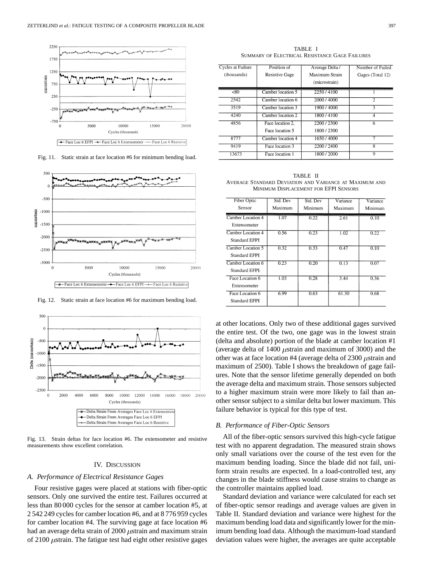

Fig. 11. Static strain at face location #6 for minimum bending load.



Fig. 12. Static strain at face location #6 for maximum bending load.



Fig. 13. Strain deltas for face location #6. The extensometer and resistive measurements show excellent correlation.

#### IV. DISCUSSION

#### *A. Performance of Electrical Resistance Gages*

Four resistive gages were placed at stations with fiber-optic sensors. Only one survived the entire test. Failures occurred at less than 80 000 cycles for the sensor at camber location #5, at 2 542 249 cycles for camber location #6, and at 8 776 959 cycles for camber location #4. The surviving gage at face location #6 had an average delta strain of  $2000 \mu$ strain and maximum strain of  $2100 \mu$ strain. The fatigue test had eight other resistive gages

TABLE I SUMMARY OF ELECTRICAL RESISTANCE GAGE FAILURES

| <b>Cycles at Failure</b><br>(thousands) | Position of<br><b>Resistive Gage</b> | Average Delta /<br>Maximum Strain | Number of Failed<br>Gages (Total 12) |  |
|-----------------------------------------|--------------------------------------|-----------------------------------|--------------------------------------|--|
|                                         |                                      | (microstrain)                     |                                      |  |
| < 80                                    | Camber location 5                    | 2250/4100                         |                                      |  |
| 2542                                    | Camber location 6                    | 2000 / 4000                       | 2                                    |  |
| 3519                                    | Camber location 3                    | 1900/4000                         | 3                                    |  |
| 4240                                    | Camber location 2                    | 1800/4100                         | $\overline{\mathcal{A}}$             |  |
| 4856                                    | Face location 2.<br>Face location 5  | 2200/2300<br>1800 / 2300          | 6                                    |  |
| 8777                                    | Camber location 4                    | 1650/4000                         |                                      |  |
| 9419                                    | Face location 3                      | 2200/2400                         | 8                                    |  |
| 13673                                   | Face location 1                      | 1800 / 2000                       | 9                                    |  |

TABLE II AVERAGE STANDARD DEVIATION AND VARIANCE AT MAXIMUM AND MINIMUM DISPLACEMENT FOR EFPI SENSORS

| <b>Fiber Optic</b><br>Sensor            | Std. Dev<br>Maximum | Std. Dev<br>Minimum | Variance<br>Maximum | Variance<br>Minimum |
|-----------------------------------------|---------------------|---------------------|---------------------|---------------------|
| Camber Location 4<br>Extensometer       | 1.07                | 0.22                | 2.61                | 0.10                |
| Camber Location 4<br>Standard EFPI      | 0.56                | 0.23                | 1.02                | 0.22                |
| Camber Location 5<br>Standard EFPI      | 0.32                | 0.33                | 0.47                | 0.10                |
| Camber Location 6<br>Standard EFPI.     | 0.23                | 0.20                | 0.13                | 0.07                |
| Face Location 6<br>Extensometer         | 1.03                | 0.28                | 3.44                | 0.36                |
| Face Location 6<br><b>Standard EFPI</b> | 6.99                | 0.63                | 61.30               | 0.68                |

at other locations. Only two of these additional gages survived the entire test. Of the two, one gage was in the lowest strain (delta and absolute) portion of the blade at camber location #1 (average delta of 1400  $\mu$ strain and maximum of 3000) and the other was at face location #4 (average delta of  $2300 \mu$ strain and maximum of 2500). Table I shows the breakdown of gage failures. Note that the sensor lifetime generally depended on both the average delta and maximum strain. Those sensors subjected to a higher maximum strain were more likely to fail than another sensor subject to a similar delta but lower maximum. This failure behavior is typical for this type of test.

#### *B. Performance of Fiber-Optic Sensors*

All of the fiber-optic sensors survived this high-cycle fatigue test with no apparent degradation. The measured strain shows only small variations over the course of the test even for the maximum bending loading. Since the blade did not fail, uniform strain results are expected. In a load-controlled test, any changes in the blade stiffness would cause strains to change as the controller maintains applied load.

Standard deviation and variance were calculated for each set of fiber-optic sensor readings and average values are given in Table II. Standard deviation and variance were highest for the maximum bending load data and significantly lower for the minimum bending load data. Although the maximum-load standard deviation values were higher, the averages are quite acceptable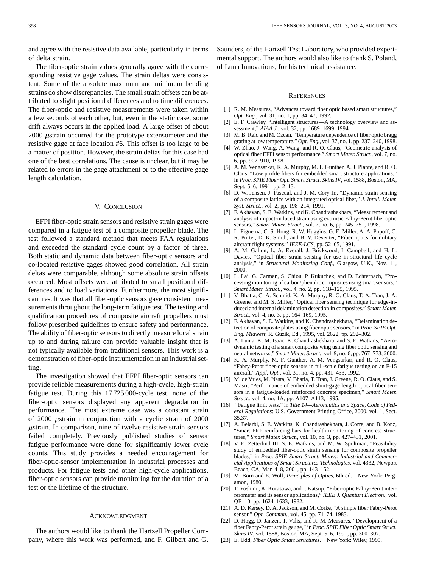and agree with the resistive data available, particularly in terms of delta strain.

The fiber-optic strain values generally agree with the corresponding resistive gage values. The strain deltas were consistent. Some of the absolute maximum and minimum bending strains do show discrepancies. The small strain offsets can be attributed to slight positional differences and to time differences. The fiber-optic and resistive measurements were taken within a few seconds of each other, but, even in the static case, some drift always occurs in the applied load. A large offset of about  $2000$   $\mu$ strain occurred for the prototype extensometer and the resistive gage at face location #6. This offset is too large to be a matter of position. However, the strain deltas for this case had one of the best correlations. The cause is unclear, but it may be related to errors in the gage attachment or to the effective gage length calculation.

#### V. CONCLUSION

EFPI fiber-optic strain sensors and resistive strain gages were compared in a fatigue test of a composite propeller blade. The test followed a standard method that meets FAA regulations and exceeded the standard cycle count by a factor of three. Both static and dynamic data between fiber-optic sensors and co-located resistive gages showed good correlation. All strain deltas were comparable, although some absolute strain offsets occurred. Most offsets were attributed to small positional differences and to load variations. Furthermore, the most significant result was that all fiber-optic sensors gave consistent measurements throughout the long-term fatigue test. The testing and qualification procedures of composite aircraft propellers must follow prescribed guidelines to ensure safety and performance. The ability of fiber-optic sensors to directly measure local strain up to and during failure can provide valuable insight that is not typically available from traditional sensors. This work is a demonstration of fiber-optic instrumentation in an industrial setting.

The investigation showed that EFPI fiber-optic sensors can provide reliable measurements during a high-cycle, high-strain fatigue test. During this 17 725 000-cycle test, none of the fiber-optic sensors displayed any apparent degradation in performance. The most extreme case was a constant strain of 2000  $\mu$ strain in conjunction with a cyclic strain of 2000  $\mu$ strain. In comparison, nine of twelve resistive strain sensors failed completely. Previously published studies of sensor fatigue performance were done for significantly lower cycle counts. This study provides a needed encouragement for fiber-optic-sensor implementation in industrial processes and products. For fatigue tests and other high-cycle applications, fiber-optic sensors can provide monitoring for the duration of a test or the lifetime of the structure.

#### ACKNOWLEDGMENT

The authors would like to thank the Hartzell Propeller Company, where this work was performed, and F. Gilbert and G. Saunders, of the Hartzell Test Laboratory, who provided experimental support. The authors would also like to thank S. Poland, of Luna Innovations, for his technical assistance.

#### **REFERENCES**

- [1] R. M. Measures, "Advances toward fiber optic based smart structures," *Opt. Eng.*, vol. 31, no. 1, pp. 34–47, 1992.
- [2] E. F. Crawley, "Intelligent structures—A technology overview and assessment," *AIAA J.*, vol. 32, pp. 1689–1699, 1994.
- [3] M. B. Reid and M. Ozcan, "Temperature dependence of fiber optic bragg grating at low temperature," *Opt. Eng.*, vol. 37, no. 1, pp. 237–240, 1998.
- [4] W. Zhao, J. Wang, A. Wang, and R. O. Claus, "Geometric analysis of optical fiber EFPI sensor performance," *Smart Mater. Struct.*, vol. 7, no. 6, pp. 907–910, 1998.
- [5] A. M. Vengsarkar, K. A. Murphy, M. F. Gunther, A. J. Plante, and R. O. Claus, "Low profile fibers for embedded smart structure applications," in *Proc. SPIE Fiber Opt. Smart Struct. Skins IV*, vol. 1588, Boston, MA, Sept. 5–6, 1991, pp. 2–13.
- [6] D. W. Jensen, J. Pascual, and J. M. Cory Jr., "Dynamic strain sensing of a composite lattice with an integrated optical fiber," *J. Intell. Mater. Syst. Struct.*, vol. 2, pp. 198–214, 1991.
- [7] F. Akhavan, S. E. Watkins, and K. Chandrashekhara, "Measurement and analysis of impact-induced strain using extrinsic Fabry-Perot fiber optic sensors," *Smart Mater. Struct.*, vol. 7, no. 6, pp. 745–751, 1998.
- [8] L. Figueroa, C. S. Hong, R. W. Huggins, G. E. Miller, A. A. Popoff, C. R. Porter, D. K. Smith, and B. V. Deventer, "Fiber optics for military aircraft flight systems," *IEEE-LCS*, pp. 52–65, 1991.
- [9] A. M. Gallon, L. A. Everall, J. Brickwood, I. Campbell, and H. L. Davies, "Optical fiber strain sensing for use in structural life cycle analysis," in *Structural Monitoring Conf.*, Glasgow, U.K., Nov. 11, 2000.
- [10] L. Lai, G. Carman, S. Chiou, P. Kukuchek, and D. Echternach, "Processing monitoring of carbon/phenolic composites using smart sensors," *Smart Mater. Struct.*, vol. 4, no. 2, pp. 118–125, 1995.
- [11] V. Bhatia, C. A. Schmid, K. A. Murphy, R. O. Claus, T. A. Tran, J. A. Greene, and M. S. Miller, "Optical fiber sensing technique for edge-induced and internal delamination detection in composites," *Smart Mater. Struct.*, vol. 4, no. 3, pp. 164–169, 1995.
- [12] F. Akhavan, S. E. Watkins, and K. Chandrashekhara, "Delamination detection of composite plates using fiber optic sensors," in *Proc. SPIE Opt. Eng. Midwest*, R. Guzik, Ed., 1995, vol. 2622, pp. 292–302.
- [13] A. Lunia, K. M. Isaac, K. Chandrashekhara, and S. E. Watkins, "Aerodynamic testing of a smart composite wing using fiber optic sensing and neural networks," *Smart Mater. Struct.*, vol. 9, no. 6, pp. 767–773, 2000.
- [14] K. A. Murphy, M. F. Gunther, A. M. Vengsarkar, and R. O. Claus, "Fabry-Perot fiber-optic sensors in full-scale fatigue testing on an F-15 aircraft," *Appl. Opt.*, vol. 31, no. 4, pp. 431–433, 1992.
- [15] M. de Vries, M. Nasta, V. Bhatia, T. Tran, J. Greene, R. O. Claus, and S. Masri, "Performance of embedded short-gage length optical fiber sensors in a fatigue-loaded reinforced concrete specimen," *Smart Mater. Struct.*, vol. 4, no. 1A, pp. A107–A113, 1995.
- [16] "Fatigue limit tests," in *Title 14—Aeronautics and Space, Code of Federal Regulations*: U.S. Government Printing Office, 2000, vol. 1, Sect. 35.37.
- [17] A. Belarbi, S. E. Watkins, K. Chandrashekhara, J. Corra, and B. Konz, "Smart FRP reinforcing bars for health monitoring of concrete structures," *Smart Mater. Struct.*, vol. 10, no. 3, pp. 427–431, 2001.
- [18] V. E. Zetterlind III, S. E. Watkins, and M. W. Spoltman, "Feasibility study of embedded fiber-optic strain sensing for composite propeller blades," in *Proc. SPIE Smart Struct. Mater.: Industrial and Commercial Applications of Smart Structures Technologies*, vol. 4332, Newport Beach, CA, Mar. 4–8, 2001, pp. 143–152.
- [19] M. Born and E. Wolf, *Principles of Optics*, 6th ed. New York: Pergamon, 1980.
- [20] T. Yoshino, K. Kurasawa, and I. Katsuji, "Fiber-optic Fabry-Perot interferometer and its sensor applications," *IEEE J. Quantum Electron.*, vol. QE–10, pp. 1624–1633, 1982.
- [21] A. D. Kersey, D. A. Jackson, and M. Corke, "A simple fiber Fabry-Perot sensor," *Opt. Commun.*, vol. 45, pp. 71–74, 1983.
- [22] D. Hogg, D. Janzen, T. Valis, and R. M. Measures, "Development of a fiber Fabry-Perot strain gauge," in *Proc. SPIE Fiber Optic Smart Struct. Skins IV*, vol. 1588, Boston, MA, Sept. 5–6, 1991, pp. 300–307.
- [23] E. Udd, *Fiber Optic Smart Structures*. New York: Wiley, 1995.